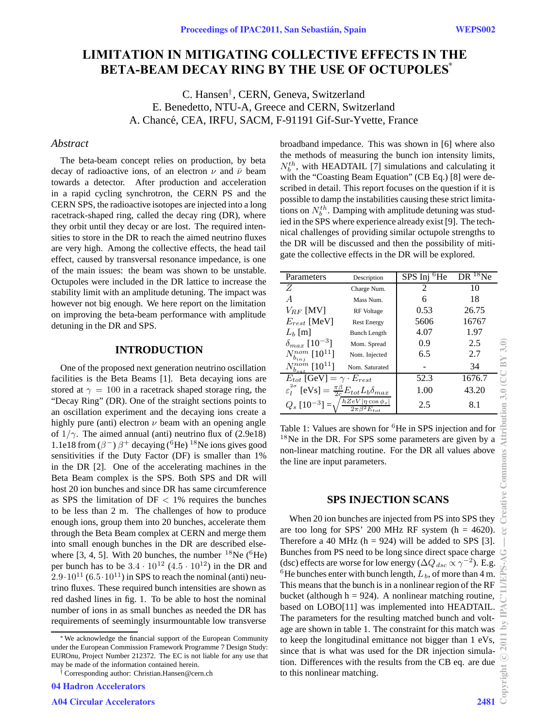# ∗ **BETA-BEAM DECAY RING BY THE USE OF OCTUPOLES LIMITATION IN MITIGATING COLLECTIVE EFFECTS IN THE**

C. Hansen*†* , CERN, Geneva, Switzerland E. Benedetto, NTU-A, Greece and CERN, Switzerland A. Chancé, CEA, IRFU, SACM, F-91191 Gif-Sur-Yvette, France

## *Abstract*

The beta-beam concept relies on production, by beta decay of radioactive ions, of an electron  $\nu$  and  $\bar{\nu}$  beam towards a detector. After production and acceleration in a rapid cycling synchrotron, the CERN PS and the CERN SPS, the radioactive isotopes are injected into a long racetrack-shaped ring, called the decay ring (DR), where they orbit until they decay or are lost. The required intensities to store in the DR to reach the aimed neutrino fluxes are very high. Among the collective effects, the head tail effect, caused by transversal resonance impedance, is one of the main issues: the beam was shown to be unstable. Octupoles were included in the DR lattice to increase the stability limit with an amplitude detuning. The impact was however not big enough. We here report on the limitation on improving the beta-beam performance with amplitude detuning in the DR and SPS.

### **INTRODUCTION**

One of the proposed next generation neutrino oscillation facilities is the Beta Beams [1]. Beta decaying ions are stored at  $\gamma = 100$  in a racetrack shaped storage ring, the "Decay Ring" (DR). One of the straight sections points to an oscillation experiment and the decaying ions create a highly pure (anti) electron  $\nu$  beam with an opening angle of  $1/\gamma$ . The aimed annual (anti) neutrino flux of (2.9e18) 1.1e18 from  $(\beta^-)$   $\beta^+$  decaying (<sup>6</sup>He) <sup>18</sup>Ne ions gives good sensitivities if the Duty Factor (DF) is smaller than 1% in the DR [2]. One of the accelerating machines in the Beta Beam complex is the SPS. Both SPS and DR will host 20 ion bunches and since DR has same circumference as SPS the limitation of  $DF < 1\%$  requires the bunches to be less than 2 m. The challenges of how to produce enough ions, group them into 20 bunches, accelerate them through the Beta Beam complex at CERN and merge them into small enough bunches in the DR are described elsewhere [3, 4, 5]. With 20 bunches, the number  $^{18}$ Ne ( $^{6}$ He) per bunch has to be  $3.4 \cdot 10^{12}$   $(4.5 \cdot 10^{12})$  in the DR and  $2.9 \cdot 10^{11}$  (6.5 $\cdot 10^{11}$ ) in SPS to reach the nominal (anti) neutrino fluxes. These required bunch intensities are shown as red dashed lines in fig. 1. To be able to host the nominal number of ions in as small bunches as needed the DR has requirements of seemingly insurmountable low transverse

broadband impedance. This was shown in [6] where also the methods of measuring the bunch ion intensity limits,  $N_b^{th}$ , with HEADTAIL [7] simulations and calculating it with the "Coasting Beam Equation" (CB Eq.) [8] were described in detail. This report focuses on the question if it is possible to damp the instabilities causing these strict limitations on  $N_b^{th}$ . Damping with amplitude detuning was studied in the SPS where experience already exist [9]. The technical challenges of providing similar octupole strengths to the DR will be discussed and then the possibility of mitigate the collective effects in the DR will be explored.

| Parameters                                                                                     | Description         | SPS Inj <sup>6</sup> He | DR <sup>18</sup> Ne |
|------------------------------------------------------------------------------------------------|---------------------|-------------------------|---------------------|
| Ζ                                                                                              | Charge Num.         | 2                       | 10                  |
|                                                                                                | Mass Num.           | 6                       | 18                  |
| $V_{RF}$ [MV]                                                                                  | RF Voltage          | 0.53                    | 26.75               |
| $E_{rest}$ [MeV]                                                                               | <b>Rest Energy</b>  | 5606                    | 16767               |
| $L_b$ [m]                                                                                      | <b>Bunch Length</b> | 4.07                    | 1.97                |
| $\delta_{max}$ [10 <sup>-3</sup> ]                                                             | Mom. Spread         | 0.9                     | 2.5                 |
| $N_{b_{ini}}^{nom}\ [10^{11}]$                                                                 | Nom. Injected       | 6.5                     | 2.7                 |
| $N_{b_{sat}}^{nom}$ [10 <sup>11</sup> ]                                                        | Nom. Saturated      |                         | 34                  |
| $E_{tot}$ [GeV] = $\gamma \cdot E_{rest}$                                                      |                     | 52.3                    | 1676.7              |
| $2\sigma$<br>$\varepsilon_l^{2\sigma}$ [eVs] $= \frac{\pi \beta}{2c} E_{tot} L_b \delta_{max}$ |                     | 1.00                    | 43.20               |
| $Q_s$ $[10^{-3}] = \sqrt{\frac{hZeV \eta\cos\phi_s }{2}}$<br>$\sqrt{2\pi\beta^2E_{tot}}$       |                     | 2.5                     | 8.1                 |

Table 1: Values are shown for <sup>6</sup>He in SPS injection and for <sup>18</sup>Ne in the DR. For SPS some parameters are given by a non-linear matching routine. For the DR all values above the line are input parameters.

## **SPS INJECTION SCANS**

When 20 ion bunches are injected from PS into SPS they are too long for SPS' 200 MHz RF system  $(h = 4620)$ . Therefore a 40 MHz ( $h = 924$ ) will be added to SPS [3]. Bunches from PS need to be long since direct space charge (dsc) effects are worse for low energy ( $\Delta Q_{dsc} \propto \gamma^{-2}$ ). E.g. <sup>6</sup>He bunches enter with bunch length,  $L_b$ , of more than 4 m. This means that the bunch is in a nonlinear region of the RF bucket (although  $h = 924$ ). A nonlinear matching routine, based on LOBO[11] was implemented into HEADTAIL. The parameters for the resulting matched bunch and voltage are shown in table 1. The constraint for this match was to keep the longitudinal emittance not bigger than 1 eVs, since that is what was used for the DR injection simulation. Differences with the results from the CB eq. are due to this nonlinear matching.

<sup>∗</sup>We acknowledge the financial support of the European Community under the European Commission Framework Programme 7 Design Study: EUROnu, Project Number 212372. The EC is not liable for any use that may be made of the information contained herein.

<sup>†</sup> Corresponding author: Christian.Hansen@cern.ch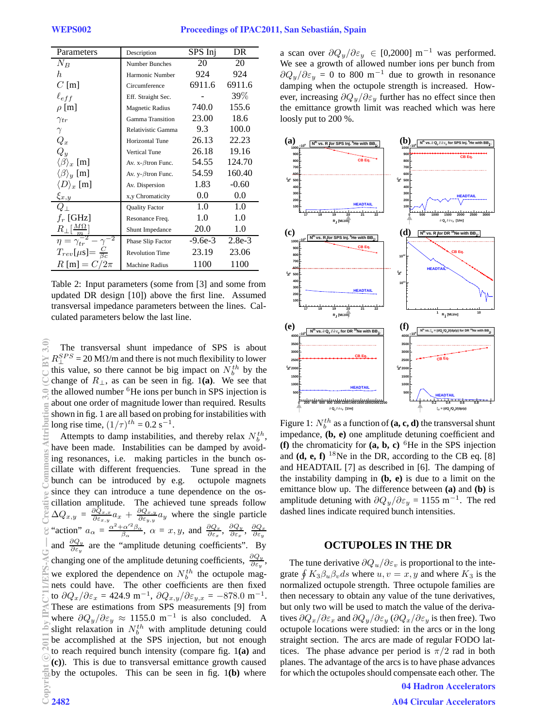| Parameters                     | Description               | SPS Inj   | DR       |
|--------------------------------|---------------------------|-----------|----------|
| $N_B$                          | Number Bunches            | 20        | 20       |
| h.                             | Harmonic Number           | 924       | 924      |
| $C$ [m]                        | Circumference             | 6911.6    | 6911.6   |
| $\ell_{eff}$                   | Eff. Straight Sec.        |           | 39\%     |
| $\rho$ [m]                     | <b>Magnetic Radius</b>    | 740.0     | 155.6    |
| $\gamma_{tr}$                  | <b>Gamma Transition</b>   | 23.00     | 18.6     |
| $\gamma$                       | Relativistic Gamma        | 9.3       | 100.0    |
| $Q_x$                          | <b>Horizontal Tune</b>    | 26.13     | 22.23    |
| $Q_{\it u}$                    | <b>Vertical Tune</b>      | 26.18     | 19.16    |
| $\langle \beta \rangle_x$ [m]  | Av. x- $\beta$ tron Func. | 54.55     | 124.70   |
| $\langle \beta \rangle_y$ [m]  | Av. y- $\beta$ tron Func. | 54.59     | 160.40   |
| $\langle D \rangle_x$ [m]      | Av. Dispersion            | 1.83      | $-0.60$  |
| $\xi_{x,y}$                    | x,y Chromaticity          | $0.0\,$   | 0.0      |
| $Q_{\perp}$                    | <b>Quality Factor</b>     | 1.0       | 1.0      |
| $f_r$ [GHz]                    | Resonance Freq.           | 1.0       | 1.0      |
| $R_{\perp}[\frac{M\Omega}{m}]$ | Shunt Impedance           | 20.0      | 1.0      |
| $\eta = \gamma_{tr}$           | Phase Slip Factor         | $-9.6e-3$ | $2.8e-3$ |
| $T_{rev}[\mu s]=$              | <b>Revolution Time</b>    | 23.19     | 23.06    |
| $R$ [m] = $C/2\pi$             | <b>Machine Radius</b>     | 1100      | 1100     |

Table 2: Input parameters (some from [3] and some from updated DR design [10]) above the first line. Assumed transversal impedance parameters between the lines. Calculated parameters below the last line.

The transversal shunt impedance of SPS is about  $R_{\perp}^{SPS} = 20$  M $\Omega/m$  and there is not much flexibility to lower this value, so there cannot be big impact on  $N_b^{th}$  by the change of  $R_{\perp}$ , as can be seen in fig. 1(a). We see that the allowed number <sup>6</sup>He ions per bunch in SPS injection is about one order of magnitude lower than required. Results shown in fig. 1 are all based on probing for instabilities with long rise time,  $(1/\tau)^{th} = 0.2 \text{ s}^{-1}$ .

Attempts to damp instabilities, and thereby relax  $N_b^{th}$ , have been made. Instabilities can be damped by avoiding resonances, i.e. making particles in the bunch oscillate with different frequencies. Tune spread in the bunch can be introduced by e.g. octupole magnets since they can introduce a tune dependence on the oscillation amplitude. The achieved tune spreads follow  $\Delta Q_{x,y} = \frac{\partial \hat{Q}_{x,x}}{\partial \varepsilon_{x,y}} a_x + \frac{\partial Q_{x,y}}{\partial \varepsilon_{y,y}} a_y$  where the single particle "action"  $a_{\alpha} = \frac{\alpha^2 + \alpha'^2 \beta_{\alpha}}{\beta_{\alpha}}, \ \alpha = x, y, \text{ and } \frac{\partial Q_x}{\partial \varepsilon_x}, \ \frac{\partial Q_y}{\partial \varepsilon_y}, \ \frac{\partial Q_x}{\partial \varepsilon_y}$ and  $\frac{\partial Q_y}{\partial \varepsilon_y}$  are the "amplitude detuning coefficients". By changing one of the amplitude detuning coefficients,  $\frac{\partial Q_y}{\partial \varepsilon_y}$ , we explored the dependence on  $N_b^{th}$  the octupole magnets could have. The other coefficients are then fixed to  $\partial Q_x/\partial \varepsilon_x = 424.9 \text{ m}^{-1}$ ,  $\partial Q_{x,y}/\partial \varepsilon_{y,x} = -878.0 \text{ m}^{-1}$ . These are estimations from SPS measurements [9] from where  $\partial Q_y/\partial \epsilon_y \approx 1155.0 \text{ m}^{-1}$  is also concluded. A slight relaxation in  $N_b^{th}$  with amplitude detuning could be accomplished at the SPS injection, but not enough to reach required bunch intensity (compare fig. 1**(a)** and **(c)**). This is due to transversal emittance growth caused by the octupoles. This can be seen in fig. 1**(b)** where

a scan over  $\partial Q_y/\partial \varepsilon_y \in [0,2000] \text{ m}^{-1}$  was performed. We see a growth of allowed number ions per bunch from  $\partial Q_y/\partial \varepsilon_y = 0$  to 800 m<sup>-1</sup> due to growth in resonance damping when the octupole strength is increased. However, increasing  $\partial Q_y/\partial \varepsilon_y$  further has no effect since then the emittance growth limit was reached which was here loosly put to 200 %.



Figure 1:  $N_b^{th}$  as a function of  $(a, c, d)$  the transversal shunt impedance, **(b, e)** one amplitude detuning coefficient and **(f)** the chromaticity for  $(a, b, c)$  <sup>6</sup>He in the SPS injection and  $(d, e, f)$  <sup>18</sup>Ne in the DR, according to the CB eq. [8] and HEADTAIL [7] as described in [6]. The damping of the instability damping in **(b, e)** is due to a limit on the emittance blow up. The difference between **(a)** and **(b)** is amplitude detuning with  $\partial Q_y/\partial \varepsilon_y = 1155$  m<sup>-1</sup>. The red dashed lines indicate required bunch intensities.

#### **OCTUPOLES IN THE DR**

The tune derivative  $\partial Q_u/\partial \varepsilon_v$  is proportional to the integrate  $\oint K_3 \beta_u \beta_v ds$  where  $u, v = x, y$  and where  $K_3$  is the normalized octupole strength. Three octupole families are then necessary to obtain any value of the tune derivatives, but only two will be used to match the value of the derivatives  $\partial Q_x/\partial \varepsilon_x$  and  $\partial Q_y/\partial \varepsilon_y$  ( $\partial Q_x/\partial \varepsilon_y$  is then free). Two octupole locations were studied: in the arcs or in the long straight section. The arcs are made of regular FODO lattices. The phase advance per period is  $\pi/2$  rad in both planes. The advantage of the arcs is to have phase advances for which the octupoles should compensate each other. The

04 Hadron Accelerators

A04 Circular Accelerators